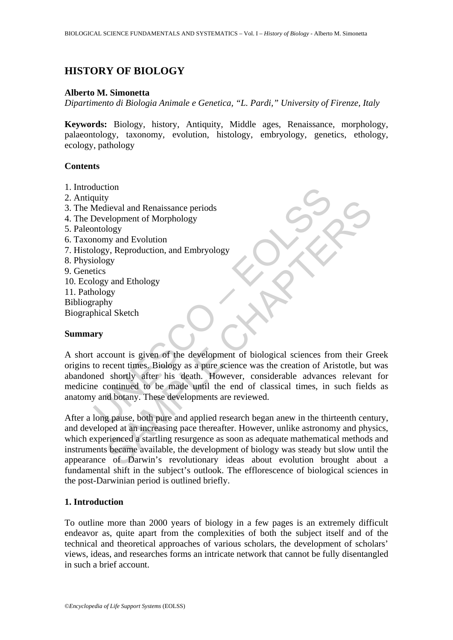# **HISTORY OF BIOLOGY**

#### **Alberto M. Simonetta**

*Dipartimento di Biologia Animale e Genetica, "L. Pardi," University of Firenze, Italy* 

**Keywords:** Biology, history, Antiquity, Middle ages, Renaissance, morphology, palaeontology, taxonomy, evolution, histology, embryology, genetics, ethology, ecology, pathology

### **Contents**

- 1. Introduction
- 2. Antiquity
- 3. The Medieval and Renaissance periods
- 4. The Development of Morphology
- 5. Paleontology
- 6. Taxonomy and Evolution
- 7. Histology, Reproduction, and Embryology
- 8. Physiology
- 9. Genetics
- 10. Ecology and Ethology
- 11. Pathology
- Bibliography
- Biographical Sketch

### **Summary**

Contained and Renaissance periods<br>
Development of Morphology<br>
Development of Morphology<br>
momy and Evolution<br>
logy, Reproduction, and Embryology<br>
tics<br>
logy<br>
tics<br>
logy and Ethology<br>
raphy<br>
momy and Ethology<br>
raphy<br>
withica A short account is given of the development of biological sciences from their Greek origins to recent times. Biology as a pure science was the creation of Aristotle, but was abandoned shortly after his death. However, considerable advances relevant for medicine continued to be made until the end of classical times, in such fields as anatomy and botany. These developments are reviewed.

S<br>
Selopment of Morphology<br>
Heval and Renaissance periods<br>
elopment of Morphology<br>
Logy<br>
sy and Evolution<br>
y, Reproduction, and Embryology<br>
gy<br>
y<br>
y and Ethology<br>
gy<br>
y<br>
y and Ethology<br>
gy<br>
y<br>
y<br>
y and Ethology<br>
gy<br>
y<br>
y<br> After a long pause, both pure and applied research began anew in the thirteenth century, and developed at an increasing pace thereafter. However, unlike astronomy and physics, which experienced a startling resurgence as soon as adequate mathematical methods and instruments became available, the development of biology was steady but slow until the appearance of Darwin's revolutionary ideas about evolution brought about a fundamental shift in the subject's outlook. The efflorescence of biological sciences in the post-Darwinian period is outlined briefly.

### **1. Introduction**

To outline more than 2000 years of biology in a few pages is an extremely difficult endeavor as, quite apart from the complexities of both the subject itself and of the technical and theoretical approaches of various scholars, the development of scholars' views, ideas, and researches forms an intricate network that cannot be fully disentangled in such a brief account.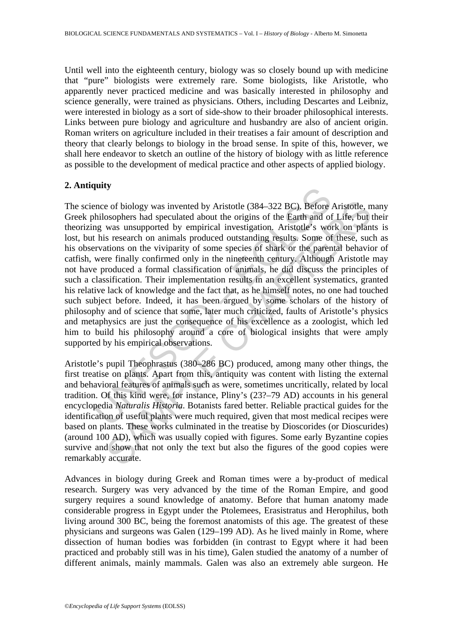Until well into the eighteenth century, biology was so closely bound up with medicine that "pure" biologists were extremely rare. Some biologists, like Aristotle, who apparently never practiced medicine and was basically interested in philosophy and science generally, were trained as physicians. Others, including Descartes and Leibniz, were interested in biology as a sort of side-show to their broader philosophical interests. Links between pure biology and agriculture and husbandry are also of ancient origin. Roman writers on agriculture included in their treatises a fair amount of description and theory that clearly belongs to biology in the broad sense. In spite of this, however, we shall here endeavor to sketch an outline of the history of biology with as little reference as possible to the development of medical practice and other aspects of applied biology.

## **2. Antiquity**

**EXECUTE:**<br>
The experiment of biology was invented by Aristotle (384–322 BC). Before *biolosophers* had speculated about the origins of the Earth and of mg was unsupported by empirical investigation. Aristotle's word his r e of biology was invented by Aristotle (384–322 BC). Before Aristotle, n<br>soophers had speculated about the origins of the Earth and of Life, but was unsupported by empircial investigation. Aristotle<sup>5</sup> s work on plan<br>is s The science of biology was invented by Aristotle (384–322 BC). Before Aristotle, many Greek philosophers had speculated about the origins of the Earth and of Life, but their theorizing was unsupported by empirical investigation. Aristotle's work on plants is lost, but his research on animals produced outstanding results. Some of these, such as his observations on the viviparity of some species of shark or the parental behavior of catfish, were finally confirmed only in the nineteenth century. Although Aristotle may not have produced a formal classification of animals, he did discuss the principles of such a classification. Their implementation results in an excellent systematics, granted his relative lack of knowledge and the fact that, as he himself notes, no one had touched such subject before. Indeed, it has been argued by some scholars of the history of philosophy and of science that some, later much criticized, faults of Aristotle's physics and metaphysics are just the consequence of his excellence as a zoologist, which led him to build his philosophy around a core of biological insights that were amply supported by his empirical observations.

Aristotle's pupil Theophrastus (380–286 BC) produced, among many other things, the first treatise on plants. Apart from this, antiquity was content with listing the external and behavioral features of animals such as were, sometimes uncritically, related by local tradition. Of this kind were, for instance, Pliny's (23?–79 AD) accounts in his general encyclopedia *Naturalis Historia*. Botanists fared better. Reliable practical guides for the identification of useful plants were much required, given that most medical recipes were based on plants. These works culminated in the treatise by Dioscorides (or Dioscurides) (around 100 AD), which was usually copied with figures. Some early Byzantine copies survive and show that not only the text but also the figures of the good copies were remarkably accurate.

Advances in biology during Greek and Roman times were a by-product of medical research. Surgery was very advanced by the time of the Roman Empire, and good surgery requires a sound knowledge of anatomy. Before that human anatomy made considerable progress in Egypt under the Ptolemees, Erasistratus and Herophilus, both living around 300 BC, being the foremost anatomists of this age. The greatest of these physicians and surgeons was Galen (129–199 AD). As he lived mainly in Rome, where dissection of human bodies was forbidden (in contrast to Egypt where it had been practiced and probably still was in his time), Galen studied the anatomy of a number of different animals, mainly mammals. Galen was also an extremely able surgeon. He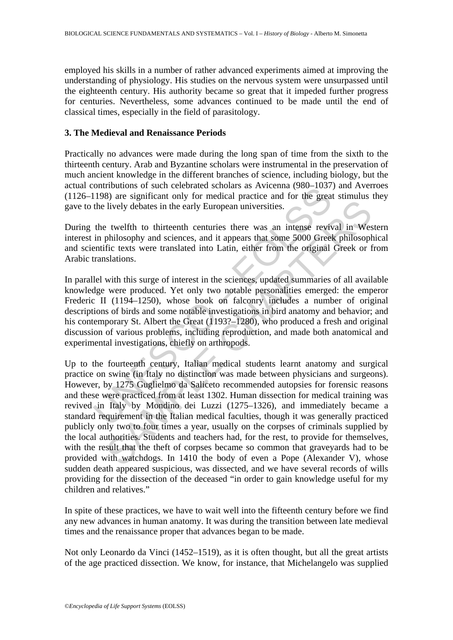employed his skills in a number of rather advanced experiments aimed at improving the understanding of physiology. His studies on the nervous system were unsurpassed until the eighteenth century. His authority became so great that it impeded further progress for centuries. Nevertheless, some advances continued to be made until the end of classical times, especially in the field of parasitology.

### **3. The Medieval and Renaissance Periods**

Practically no advances were made during the long span of time from the sixth to the thirteenth century. Arab and Byzantine scholars were instrumental in the preservation of much ancient knowledge in the different branches of science, including biology, but the actual contributions of such celebrated scholars as Avicenna (980–1037) and Averroes (1126–1198) are significant only for medical practice and for the great stimulus they gave to the lively debates in the early European universities.

During the twelfth to thirteenth centuries there was an intense revival in Western interest in philosophy and sciences, and it appears that some 5000 Greek philosophical and scientific texts were translated into Latin, either from the original Greek or from Arabic translations.

ommounts of such centerates scholars as Avecelian (900–105)<br>1198) are significant only for medical practice and for the great<br>the lively debates in the early European universities.<br>the twelfth to thirteenth centuries there In parallel with this surge of interest in the sciences, updated summaries of all available knowledge were produced. Yet only two notable personalities emerged: the emperor Frederic II (1194–1250), whose book on falconry includes a number of original descriptions of birds and some notable investigations in bird anatomy and behavior; and his contemporary St. Albert the Great (1193?–1280), who produced a fresh and original discussion of various problems, including reproduction, and made both anatomical and experimental investigations, chiefly on arthropods.

lively debates in the early European universities.<br>
I ively debates in the early European universities.<br>
2 twelfth to thirteenth centuries there was an intense revival in West<br>
philosophy and sciences, and it appears that Up to the fourteenth century, Italian medical students learnt anatomy and surgical practice on swine (in Italy no distinction was made between physicians and surgeons). However, by 1275 Guglielmo da Saliceto recommended autopsies for forensic reasons and these were practiced from at least 1302. Human dissection for medical training was revived in Italy by Mondino dei Luzzi (1275–1326), and immediately became a standard requirement in the Italian medical faculties, though it was generally practiced publicly only two to four times a year, usually on the corpses of criminals supplied by the local authorities. Students and teachers had, for the rest, to provide for themselves, with the result that the theft of corpses became so common that graveyards had to be provided with watchdogs. In 1410 the body of even a Pope (Alexander V), whose sudden death appeared suspicious, was dissected, and we have several records of wills providing for the dissection of the deceased "in order to gain knowledge useful for my children and relatives."

In spite of these practices, we have to wait well into the fifteenth century before we find any new advances in human anatomy. It was during the transition between late medieval times and the renaissance proper that advances began to be made.

Not only Leonardo da Vinci (1452–1519), as it is often thought, but all the great artists of the age practiced dissection. We know, for instance, that Michelangelo was supplied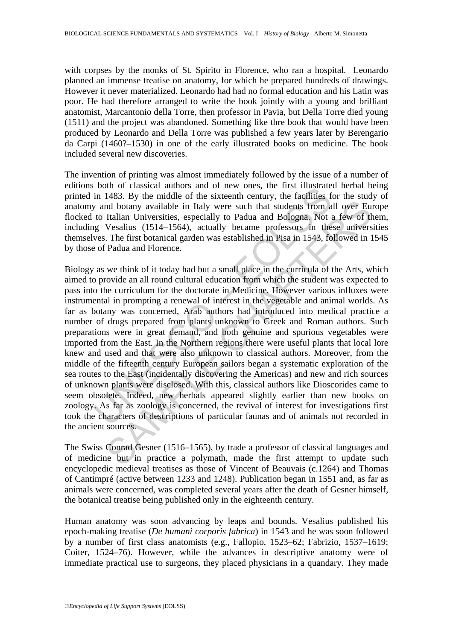with corpses by the monks of St. Spirito in Florence, who ran a hospital. Leonardo planned an immense treatise on anatomy, for which he prepared hundreds of drawings. However it never materialized. Leonardo had had no formal education and his Latin was poor. He had therefore arranged to write the book jointly with a young and brilliant anatomist, Marcantonio della Torre, then professor in Pavia, but Della Torre died young (1511) and the project was abandoned. Something like thre book that would have been produced by Leonardo and Della Torre was published a few years later by Berengario da Carpi (1460?–1530) in one of the early illustrated books on medicine. The book included several new discoveries.

The invention of printing was almost immediately followed by the issue of a number of editions both of classical authors and of new ones, the first illustrated herbal being printed in 1483. By the middle of the sixteenth century, the facilities for the study of anatomy and botany available in Italy were such that students from all over Europe flocked to Italian Universities, especially to Padua and Bologna. Not a few of them, including Vesalius (1514–1564), actually became professors in these universities themselves. The first botanical garden was established in Pisa in 1543, followed in 1545 by those of Padua and Florence.

bound of classical and only where, the first mustaked<br>in 1483. By the middle of the sixteenth century, the facilities for and botany available in Italy were such that students from a<br>to Italian Universities, especially to In Universities, especially to Padua and Bologna. Not also be that students from all over Euriaian Universities, especially to Padua and Bologna. Not a few of the Italian Universities, especially to Padua and Bologna. Not Biology as we think of it today had but a small place in the curricula of the Arts, which aimed to provide an all round cultural education from which the student was expected to pass into the curriculum for the doctorate in Medicine. However various influxes were instrumental in prompting a renewal of interest in the vegetable and animal worlds. As far as botany was concerned, Arab authors had introduced into medical practice a number of drugs prepared from plants unknown to Greek and Roman authors. Such preparations were in great demand, and both genuine and spurious vegetables were imported from the East. In the Northern regions there were useful plants that local lore knew and used and that were also unknown to classical authors. Moreover, from the middle of the fifteenth century European sailors began a systematic exploration of the sea routes to the East (incidentally discovering the Americas) and new and rich sources of unknown plants were disclosed. With this, classical authors like Dioscorides came to seem obsolete. Indeed, new herbals appeared slightly earlier than new books on zoology. As far as zoology is concerned, the revival of interest for investigations first took the characters of descriptions of particular faunas and of animals not recorded in the ancient sources.

The Swiss Conrad Gesner (1516–1565), by trade a professor of classical languages and of medicine but in practice a polymath, made the first attempt to update such encyclopedic medieval treatises as those of Vincent of Beauvais (c.1264) and Thomas of Cantimpré (active between 1233 and 1248). Publication began in 1551 and, as far as animals were concerned, was completed several years after the death of Gesner himself, the botanical treatise being published only in the eighteenth century.

Human anatomy was soon advancing by leaps and bounds. Vesalius published his epoch-making treatise (*De humani corporis fabrica*) in 1543 and he was soon followed by a number of first class anatomists (e.g., Fallopio, 1523–62; Fabrizio, 1537–1619; Coiter, 1524–76). However, while the advances in descriptive anatomy were of immediate practical use to surgeons, they placed physicians in a quandary. They made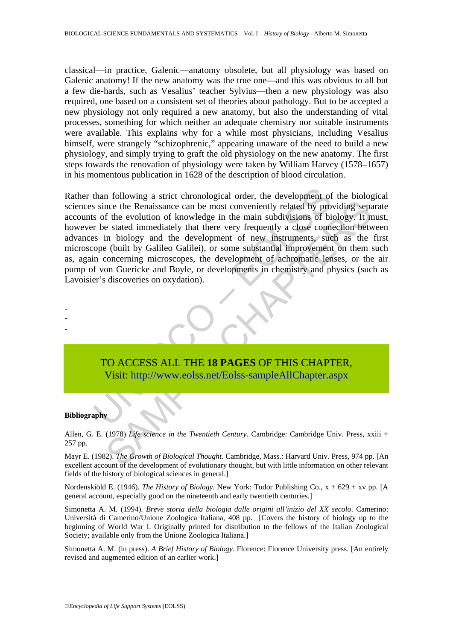classical—in practice, Galenic—anatomy obsolete, but all physiology was based on Galenic anatomy! If the new anatomy was the true one—and this was obvious to all but a few die-hards, such as Vesalius' teacher Sylvius—then a new physiology was also required, one based on a consistent set of theories about pathology. But to be accepted a new physiology not only required a new anatomy, but also the understanding of vital processes, something for which neither an adequate chemistry nor suitable instruments were available. This explains why for a while most physicians, including Vesalius himself, were strangely "schizophrenic," appearing unaware of the need to build a new physiology, and simply trying to graft the old physiology on the new anatomy. The first steps towards the renovation of physiology were taken by William Harvey (1578–1657) in his momentous publication in 1628 of the description of blood circulation.

than following a strict chronological order, the development of<br>s since the Renaissance can be most conveniently related by pro<br>s of the evolution of knowledge in the main subdivisions of bi<br>r be stated immediately that th nce the Renaissance can be most conveniently related by providing separate the Renaissance can be most conveniently related by providing separate in the evolution of knowledge in the main subdivisions of biology. It net st Rather than following a strict chronological order, the development of the biological sciences since the Renaissance can be most conveniently related by providing separate accounts of the evolution of knowledge in the main subdivisions of biology. It must, however be stated immediately that there very frequently a close connection between advances in biology and the development of new instruments, such as the first microscope (built by Galileo Galilei), or some substantial improvement on them such as, again concerning microscopes, the development of achromatic lenses, or the air pump of von Guericke and Boyle, or developments in chemistry and physics (such as Lavoisier's discoveries on oxydation).



#### **Bibliography**

- - -

Allen, G. E. (1978) *Life science in the Twentieth Century*. Cambridge: Cambridge Univ. Press, xxiii + 257 pp.

Mayr E. (1982). *The Growth of Biological Thought.* Cambridge, Mass.: Harvard Univ. Press, 974 pp. [An excellent account of the development of evolutionary thought, but with little information on other relevant fields of the history of biological sciences in general.]

Nordenskiöld E. (1946). *The History of Biology*. New York: Tudor Publishing Co., x + 629 + xv pp. [A general account, especially good on the nineteenth and early twentieth centuries.]

Simonetta A. M. (1994). *Breve storia della biologia dalle origini all'inizio del XX secolo*. Camerino: Università di Camerino/Unione Zoologica Italiana, 408 pp. [Covers the history of biology up to the beginning of World War I. Originally printed for distribution to the fellows of the Italian Zoological Society; available only from the Unione Zoologica Italiana.]

Simonetta A. M. (in press). *A Brief History of Biology*. Florence: Florence University press. [An entirely revised and augmented edition of an earlier work.]